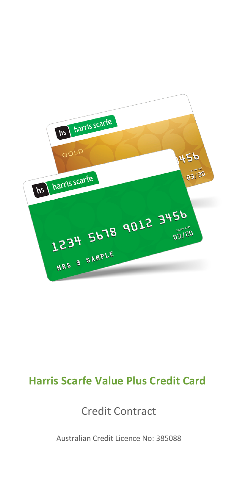

# **Harris Scarfe Value Plus Credit Card**

Credit Contract

Australian Credit Licence No: 385088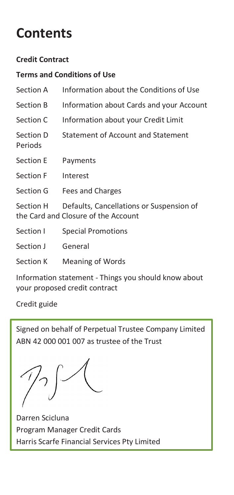# **Contents**

#### **Credit Contract**

#### **Terms and Conditions of Use**

| Section A            | Information about the Conditions of Use                                         |
|----------------------|---------------------------------------------------------------------------------|
| Section B            | Information about Cards and your Account                                        |
| Section C            | Information about your Credit Limit                                             |
| Section D<br>Periods | Statement of Account and Statement                                              |
| Section E            | Payments                                                                        |
| Section F            | Interest                                                                        |
| Section G            | Fees and Charges                                                                |
| Section H            | Defaults, Cancellations or Suspension of<br>the Card and Closure of the Account |
| Section I            | Special Promotions                                                              |
| Section J            | General                                                                         |
| Section K            | Meaning of Words                                                                |
|                      |                                                                                 |

Information statement - Things you should know about your proposed credit contract

Credit guide

Signed on behalf of Perpetual Trustee Company Limited ABN 42 000 001 007 as trustee of the Trust

Darren Scicluna Program Manager Credit Cards Harris Scarfe Financial Services Pty Limited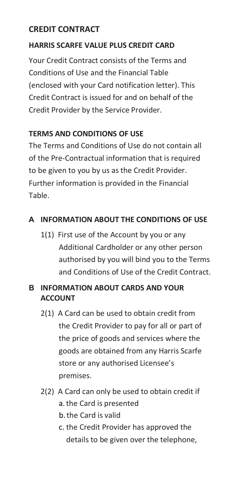# **CREDIT CONTRACT**

# **HARRIS SCARFE VALUE PLUS CREDIT CARD**

Your Credit Contract consists of the Terms and Conditions of Use and the Financial Table (enclosed with your Card notification letter). This Credit Contract is issued for and on behalf of the Credit Provider by the Service Provider.

# **TERMS AND CONDITIONS OF USE**

The Terms and Conditions of Use do not contain all of the Pre-Contractual information that is required to be given to you by us as the Credit Provider. Further information is provided in the Financial Table.

# **A INFORMATION ABOUT THE CONDITIONS OF USE**

1(1) First use of the Account by you or any Additional Cardholder or any other person authorised by you will bind you to the Terms and Conditions of Use of the Credit Contract.

# **B INFORMATION ABOUT CARDS AND YOUR ACCOUNT**

- 2(1) A Card can be used to obtain credit from the Credit Provider to pay for all or part of the price of goods and services where the goods are obtained from any Harris Scarfe store or any authorised Licensee's premises.
- 2(2) A Card can only be used to obtain credit if a.the Card is presented
	- b.the Card is valid
	- c. the Credit Provider has approved the details to be given over the telephone,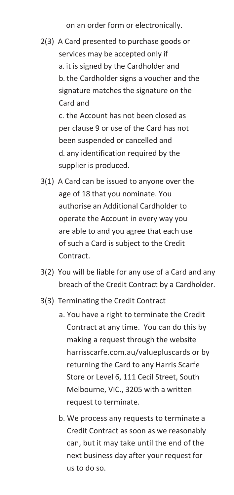on an order form or electronically.

2(3) A Card presented to purchase goods or services may be accepted only if a. it is signed by the Cardholder and b. the Cardholder signs a voucher and the signature matches the signature on the Card and

> c. the Account has not been closed as per clause 9 or use of the Card has not been suspended or cancelled and d. any identification required by the supplier is produced.

- 3(1) A Card can be issued to anyone over the age of 18 that you nominate. You authorise an Additional Cardholder to operate the Account in every way you are able to and you agree that each use of such a Card is subject to the Credit **Contract**
- 3(2) You will be liable for any use of a Card and any breach of the Credit Contract by a Cardholder.
- 3(3) Terminating the Credit Contract
	- a. You have a right to terminate the Credit Contract at any time. You can do this by making a request through the website harrisscarfe.com.au/valuepluscards or by returning the Card to any Harris Scarfe Store or Level 6, 111 Cecil Street, South Melbourne, VIC., 3205 with a written request to terminate.
	- b. We process any requests to terminate a Credit Contract as soon as we reasonably can, but it may take until the end of the next business day after your request for us to do so.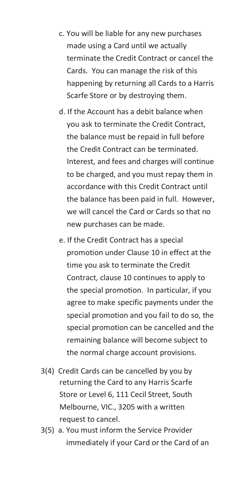- c. You will be liable for any new purchases made using a Card until we actually terminate the Credit Contract or cancel the Cards. You can manage the risk of this happening by returning all Cards to a Harris Scarfe Store or by destroying them.
- d. If the Account has a debit balance when you ask to terminate the Credit Contract, the balance must be repaid in full before the Credit Contract can be terminated. Interest, and fees and charges will continue to be charged, and you must repay them in accordance with this Credit Contract until the balance has been paid in full. However, we will cancel the Card or Cards so that no new purchases can be made.
- e. If the Credit Contract has a special promotion under Clause 10 in effect at the time you ask to terminate the Credit Contract, clause 10 continues to apply to the special promotion. In particular, if you agree to make specific payments under the special promotion and you fail to do so, the special promotion can be cancelled and the remaining balance will become subject to the normal charge account provisions.
- 3(4) Credit Cards can be cancelled by you by returning the Card to any Harris Scarfe Store or Level 6, 111 Cecil Street, South Melbourne, VIC., 3205 with a written request to cancel.
- 3(5) a. You must inform the Service Provider immediately if your Card or the Card of an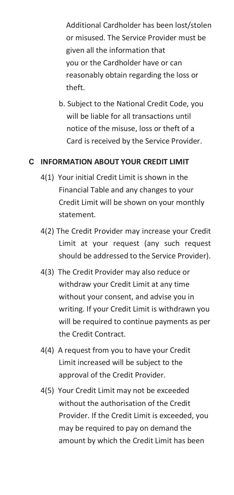Additional Cardholder has been lost/stolen or misused. The Service Provider must be given all the information that you or the Cardholder have or can reasonably obtain regarding the loss or theft.

b. Subject to the National Credit Code, you will be liable for all transactions until notice of the misuse, loss or theft of a Card is received by the Service Provider.

# **C INFORMATION ABOUT YOUR CREDIT LIMIT**

- 4(1) Your initial Credit Limit is shown in the Financial Table and any changes to your Credit Limit will be shown on your monthly statement.
- 4(2) The Credit Provider may increase your Credit Limit at your request (any such request should be addressed to the Service Provider).
- 4(3) The Credit Provider may also reduce or withdraw your Credit Limit at any time without your consent, and advise you in writing. If your Credit Limit is withdrawn you will be required to continue payments as per the Credit Contract.
- 4(4) A request from you to have your Credit Limit increased will be subject to the approval of the Credit Provider.
- 4(5) Your Credit Limit may not be exceeded without the authorisation of the Credit Provider. If the Credit Limit is exceeded, you may be required to pay on demand the amount by which the Credit Limit has been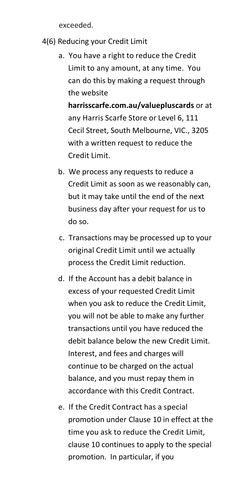exceeded.

- 4(6) Reducing your Credit Limit
	- a. You have a right to reduce the Credit Limit to any amount, at any time. You can do this by making a request through the website

**harrisscarfe.com.au/valuepluscards** or at any Harris Scarfe Store or Level 6, 111 Cecil Street, South Melbourne, VIC., 3205 with a written request to reduce the Credit Limit.

- b. We process any requests to reduce a Credit Limit as soon as we reasonably can, but it may take until the end of the next business day after your request for us to do so.
- c. Transactions may be processed up to your original Credit Limit until we actually process the Credit Limit reduction.
- d. If the Account has a debit balance in excess of your requested Credit Limit when you ask to reduce the Credit Limit, you will not be able to make any further transactions until you have reduced the debit balance below the new Credit Limit. Interest, and fees and charges will continue to be charged on the actual balance, and you must repay them in accordance with this Credit Contract.
- e. If the Credit Contract has a special promotion under Clause 10 in effect at the time you ask to reduce the Credit Limit, clause 10 continues to apply to the special promotion. In particular, if you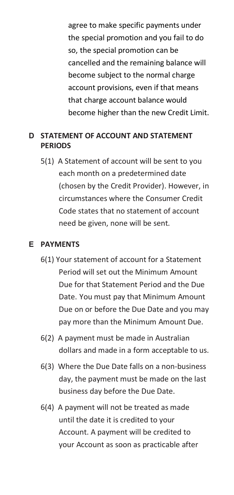agree to make specific payments under the special promotion and you fail to do so, the special promotion can be cancelled and the remaining balance will become subject to the normal charge account provisions, even if that means that charge account balance would become higher than the new Credit Limit.

# **D STATEMENT OF ACCOUNT AND STATEMENT PERIODS**

5(1) A Statement of account will be sent to you each month on a predetermined date (chosen by the Credit Provider). However, in circumstances where the Consumer Credit Code states that no statement of account need be given, none will be sent.

#### **E PAYMENTS**

- 6(1) Your statement of account for a Statement Period will set out the Minimum Amount Due for that Statement Period and the Due Date. You must pay that Minimum Amount Due on or before the Due Date and you may pay more than the Minimum Amount Due.
- 6(2) A payment must be made in Australian dollars and made in a form acceptable to us.
- 6(3) Where the Due Date falls on a non-business day, the payment must be made on the last business day before the Due Date.
- 6(4) A payment will not be treated as made until the date it is credited to your Account. A payment will be credited to your Account as soon as practicable after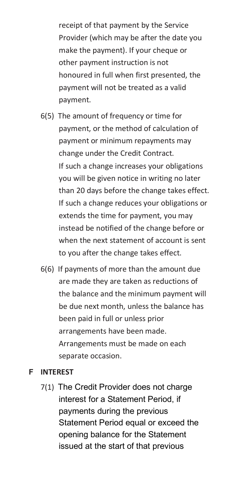receipt of that payment by the Service Provider (which may be after the date you make the payment). If your cheque or other payment instruction is not honoured in full when first presented, the payment will not be treated as a valid payment.

- 6(5) The amount of frequency or time for payment, or the method of calculation of payment or minimum repayments may change under the Credit Contract. If such a change increases your obligations you will be given notice in writing no later than 20 days before the change takes effect. If such a change reduces your obligations or extends the time for payment, you may instead be notified of the change before or when the next statement of account is sent to you after the change takes effect.
- 6(6) If payments of more than the amount due are made they are taken as reductions of the balance and the minimum payment will be due next month, unless the balance has been paid in full or unless prior arrangements have been made. Arrangements must be made on each separate occasion.

#### **F INTEREST**

7(1) The Credit Provider does not charge interest for a Statement Period, if payments during the previous Statement Period equal or exceed the opening balance for the Statement issued at the start of that previous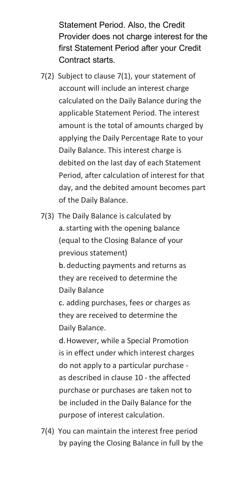Statement Period. Also, the Credit Provider does not charge interest for the first Statement Period after your Credit Contract starts.

- 7(2) Subject to clause 7(1), your statement of account will include an interest charge calculated on the Daily Balance during the applicable Statement Period. The interest amount is the total of amounts charged by applying the Daily Percentage Rate to your Daily Balance. This interest charge is debited on the last day of each Statement Period, after calculation of interest for that day, and the debited amount becomes part of the Daily Balance.
- 7(3) The Daily Balance is calculated by a.starting with the opening balance (equal to the Closing Balance of your previous statement) b. deducting payments and returns as they are received to determine the Daily Balance c. adding purchases, fees or charges as they are received to determine the

Daily Balance.

d.However, while a Special Promotion is in effect under which interest charges do not apply to a particular purchase as described in clause 10 - the affected purchase or purchases are taken not to be included in the Daily Balance for the purpose of interest calculation.

7(4) You can maintain the interest free period by paying the Closing Balance in full by the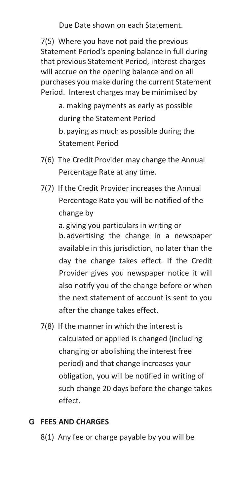Due Date shown on each Statement.

7(5) Where you have not paid the previous Statement Period's opening balance in full during that previous Statement Period, interest charges will accrue on the opening balance and on all purchases you make during the current Statement Period. Interest charges may be minimised by

> a. making payments as early as possible during the Statement Period b. paying as much as possible during the Statement Period

- 7(6) The Credit Provider may change the Annual Percentage Rate at any time.
- 7(7) If the Credit Provider increases the Annual Percentage Rate you will be notified of the change by

a. giving you particulars in writing or b. advertising the change in a newspaper available in this jurisdiction, no later than the day the change takes effect. If the Credit Provider gives you newspaper notice it will also notify you of the change before or when the next statement of account is sent to you after the change takes effect.

7(8) If the manner in which the interest is calculated or applied is changed (including changing or abolishing the interest free period) and that change increases your obligation, you will be notified in writing of such change 20 days before the change takes effect.

# **G FEES AND CHARGES**

8(1) Any fee or charge payable by you will be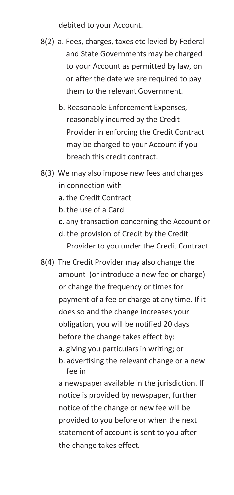debited to your Account.

- 8(2) a. Fees, charges, taxes etc levied by Federal and State Governments may be charged to your Account as permitted by law, on or after the date we are required to pay them to the relevant Government.
	- b. Reasonable Enforcement Expenses, reasonably incurred by the Credit Provider in enforcing the Credit Contract may be charged to your Account if you breach this credit contract.
- 8(3) We may also impose new fees and charges in connection with
	- a.the Credit Contract
	- b.the use of a Card
	- c. any transaction concerning the Account or
	- d. the provision of Credit by the Credit Provider to you under the Credit Contract.
- 8(4) The Credit Provider may also change the amount (or introduce a new fee or charge) or change the frequency or times for payment of a fee or charge at any time. If it does so and the change increases your obligation, you will be notified 20 days before the change takes effect by: a. giving you particulars in writing; or b. advertising the relevant change or a new fee in

a newspaper available in the jurisdiction. If notice is provided by newspaper, further notice of the change or new fee will be provided to you before or when the next statement of account is sent to you after the change takes effect.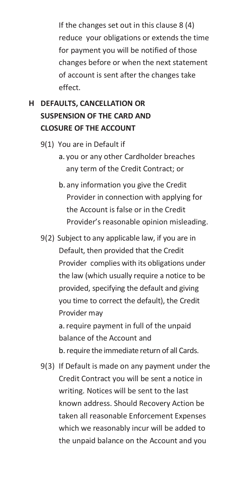If the changes set out in this clause 8 (4) reduce your obligations or extends the time for payment you will be notified of those changes before or when the next statement of account is sent after the changes take effect.

# **H DEFAULTS, CANCELLATION OR SUSPENSION OF THE CARD AND CLOSURE OF THE ACCOUNT**

- 9(1) You are in Default if
	- a. you or any other Cardholder breaches any term of the Credit Contract; or
	- b. any information you give the Credit Provider in connection with applying for the Account is false or in the Credit Provider's reasonable opinion misleading.
- 9(2) Subject to any applicable law, if you are in Default, then provided that the Credit Provider complies with its obligations under the law (which usually require a notice to be provided, specifying the default and giving you time to correct the default), the Credit Provider may a.require payment in full of the unpaid balance of the Account and

b.require the immediate return of all Cards.

9(3) If Default is made on any payment under the Credit Contract you will be sent a notice in writing. Notices will be sent to the last known address. Should Recovery Action be taken all reasonable Enforcement Expenses which we reasonably incur will be added to the unpaid balance on the Account and you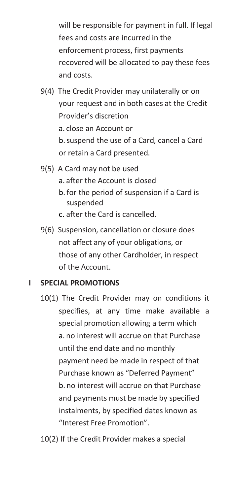will be responsible for payment in full. If legal fees and costs are incurred in the enforcement process, first payments recovered will be allocated to pay these fees and costs.

- 9(4) The Credit Provider may unilaterally or on your request and in both cases at the Credit Provider's discretion a. close an Account or b.suspend the use of a Card, cancel a Card or retain a Card presented.
- 9(5) A Card may not be used a. after the Account is closed
	- b. for the period of suspension if a Card is suspended
	- c. after the Card is cancelled.
- 9(6) Suspension, cancellation or closure does not affect any of your obligations, or those of any other Cardholder, in respect of the Account.

# **I SPECIAL PROMOTIONS**

- 10(1) The Credit Provider may on conditions it specifies, at any time make available a special promotion allowing a term which a. no interest will accrue on that Purchase until the end date and no monthly payment need be made in respect of that Purchase known as "Deferred Payment" b. no interest will accrue on that Purchase and payments must be made by specified instalments, by specified dates known as "Interest Free Promotion".
- 10(2) If the Credit Provider makes a special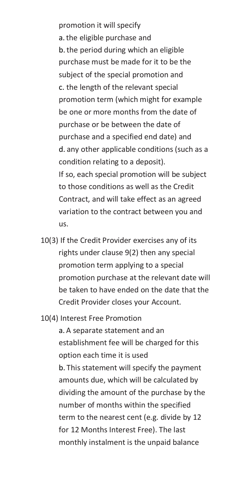promotion it will specify a.the eligible purchase and b.the period during which an eligible purchase must be made for it to be the subject of the special promotion and c. the length of the relevant special promotion term (which might for example be one or more months from the date of purchase or be between the date of purchase and a specified end date) and d. any other applicable conditions (such as a condition relating to a deposit). If so, each special promotion will be subject to those conditions as well as the Credit Contract, and will take effect as an agreed variation to the contract between you and us.

- 10(3) If the Credit Provider exercises any of its rights under clause 9(2) then any special promotion term applying to a special promotion purchase at the relevant date will be taken to have ended on the date that the Credit Provider closes your Account.
- 10(4) Interest Free Promotion

a. A separate statement and an establishment fee will be charged for this option each time it is used b. This statement will specify the payment amounts due, which will be calculated by dividing the amount of the purchase by the number of months within the specified term to the nearest cent (e.g. divide by 12 for 12 Months Interest Free). The last monthly instalment is the unpaid balance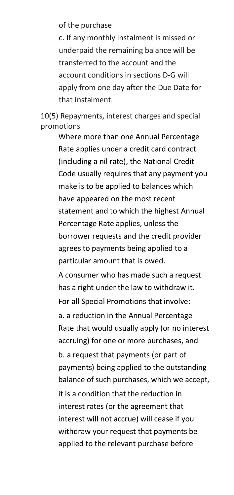of the purchase

c. If any monthly instalment is missed or underpaid the remaining balance will be transferred to the account and the account conditions in sections D-G will apply from one day after the Due Date for that instalment.

10(5) Repayments, interest charges and special promotions

> Where more than one Annual Percentage Rate applies under a credit card contract (including a nil rate), the National Credit Code usually requires that any payment you make is to be applied to balances which have appeared on the most recent statement and to which the highest Annual Percentage Rate applies, unless the borrower requests and the credit provider agrees to payments being applied to a particular amount that is owed. A consumer who has made such a request has a right under the law to withdraw it. For all Special Promotions that involve: a. a reduction in the Annual Percentage Rate that would usually apply (or no interest accruing) for one or more purchases, and b. a request that payments (or part of payments) being applied to the outstanding balance of such purchases, which we accept, it is a condition that the reduction in

interest rates (or the agreement that interest will not accrue) will cease if you withdraw your request that payments be applied to the relevant purchase before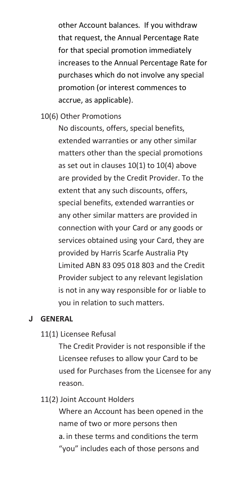other Account balances. If you withdraw that request, the Annual Percentage Rate for that special promotion immediately increases to the Annual Percentage Rate for purchases which do not involve any special promotion (or interest commences to accrue, as applicable).

10(6) Other Promotions

No discounts, offers, special benefits, extended warranties or any other similar matters other than the special promotions as set out in clauses 10(1) to 10(4) above are provided by the Credit Provider. To the extent that any such discounts, offers, special benefits, extended warranties or any other similar matters are provided in connection with your Card or any goods or services obtained using your Card, they are provided by Harris Scarfe Australia Pty Limited ABN 83 095 018 803 and the Credit Provider subject to any relevant legislation is not in any way responsible for or liable to you in relation to such matters.

#### **J GENERAL**

#### 11(1) Licensee Refusal

The Credit Provider is not responsible if the Licensee refuses to allow your Card to be used for Purchases from the Licensee for any reason.

#### 11(2) Joint Account Holders

Where an Account has been opened in the name of two or more persons then a. in these terms and conditions the term "you" includes each of those persons and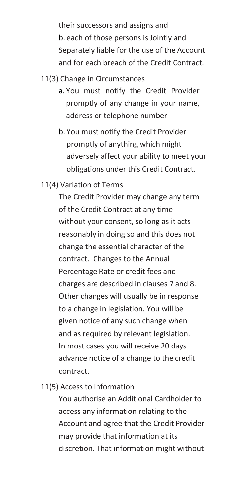their successors and assigns and b. each of those persons is Jointly and Separately liable for the use of the Account and for each breach of the Credit Contract.

#### 11(3) Change in Circumstances

- a. You must notify the Credit Provider promptly of any change in your name, address or telephone number
- b. You must notify the Credit Provider promptly of anything which might adversely affect your ability to meet your obligations under this Credit Contract.

# 11(4) Variation of Terms

The Credit Provider may change any term of the Credit Contract at any time without your consent, so long as it acts reasonably in doing so and this does not change the essential character of the contract. Changes to the Annual Percentage Rate or credit fees and charges are described in clauses 7 and 8. Other changes will usually be in response to a change in legislation. You will be given notice of any such change when and as required by relevant legislation. In most cases you will receive 20 days advance notice of a change to the credit contract.

11(5) Access to Information

You authorise an Additional Cardholder to access any information relating to the Account and agree that the Credit Provider may provide that information at its discretion. That information might without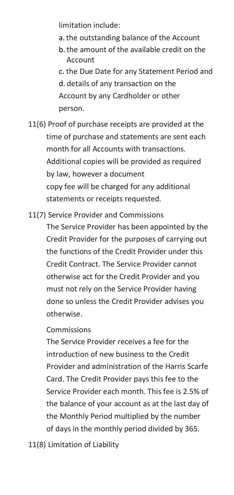limitation include:

- a.the outstanding balance of the Account
- b.the amount of the available credit on the Account
- c. the Due Date for any Statement Period and d. details of any transaction on the Account by any Cardholder or other person.
- 11(6) Proof of purchase receipts are provided at the time of purchase and statements are sent each month for all Accounts with transactions. Additional copies will be provided as required by law, however a document copy fee will be charged for any additional statements or receipts requested.
- 11(7) Service Provider and Commissions

The Service Provider has been appointed by the Credit Provider for the purposes of carrying out the functions of the Credit Provider under this Credit Contract. The Service Provider cannot otherwise act for the Credit Provider and you must not rely on the Service Provider having done so unless the Credit Provider advises you otherwise.

# Commissions

The Service Provider receives a fee for the introduction of new business to the Credit Provider and administration of the Harris Scarfe Card. The Credit Provider pays this fee to the Service Provider each month. This fee is 2.5% of the balance of your account as at the last day of the Monthly Period multiplied by the number of days in the monthly period divided by 365.

11(8) Limitation of Liability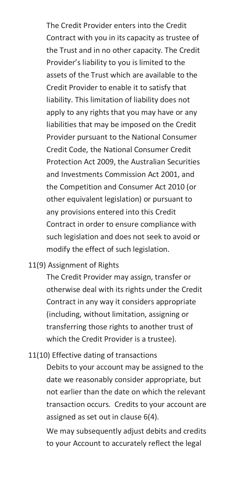The Credit Provider enters into the Credit Contract with you in its capacity as trustee of the Trust and in no other capacity. The Credit Provider's liability to you is limited to the assets of the Trust which are available to the Credit Provider to enable it to satisfy that liability. This limitation of liability does not apply to any rights that you may have or any liabilities that may be imposed on the Credit Provider pursuant to the National Consumer Credit Code, the National Consumer Credit Protection Act 2009, the Australian Securities and Investments Commission Act 2001, and the Competition and Consumer Act 2010 (or other equivalent legislation) or pursuant to any provisions entered into this Credit Contract in order to ensure compliance with such legislation and does not seek to avoid or modify the effect of such legislation.

# 11(9) Assignment of Rights

The Credit Provider may assign, transfer or otherwise deal with its rights under the Credit Contract in any way it considers appropriate (including, without limitation, assigning or transferring those rights to another trust of which the Credit Provider is a trustee).

#### 11(10) Effective dating of transactions

Debits to your account may be assigned to the date we reasonably consider appropriate, but not earlier than the date on which the relevant transaction occurs. Credits to your account are assigned as set out in clause 6(4).

We may subsequently adjust debits and credits to your Account to accurately reflect the legal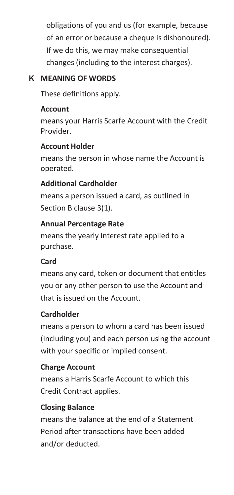obligations of you and us (for example, because of an error or because a cheque is dishonoured). If we do this, we may make consequential changes (including to the interest charges).

# **K MEANING OF WORDS**

These definitions apply.

# **Account**

means your Harris Scarfe Account with the Credit Provider.

# **Account Holder**

means the person in whose name the Account is operated.

# **Additional Cardholder**

means a person issued a card, as outlined in Section B clause 3(1).

# **Annual Percentage Rate**

means the yearly interest rate applied to a purchase.

# **Card**

means any card, token or document that entitles you or any other person to use the Account and that is issued on the Account.

# **Cardholder**

means a person to whom a card has been issued (including you) and each person using the account with your specific or implied consent.

# **Charge Account**

means a Harris Scarfe Account to which this Credit Contract applies.

# **Closing Balance**

means the balance at the end of a Statement Period after transactions have been added and/or deducted.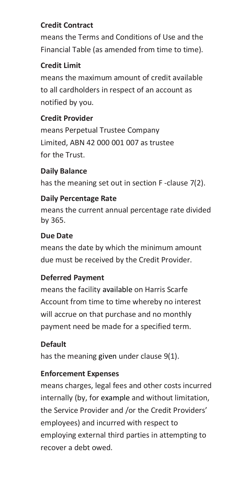# **Credit Contract**

means the Terms and Conditions of Use and the Financial Table (as amended from time to time).

# **Credit Limit**

means the maximum amount of credit available to all cardholders in respect of an account as notified by you.

# **Credit Provider**

means Perpetual Trustee Company Limited, ABN 42 000 001 007 as trustee for the Trust.

# **Daily Balance**

has the meaning set out in section F -clause 7(2).

# **Daily Percentage Rate**

means the current annual percentage rate divided by 365.

# **Due Date**

means the date by which the minimum amount due must be received by the Credit Provider.

# **Deferred Payment**

means the facility available on Harris Scarfe Account from time to time whereby no interest will accrue on that purchase and no monthly payment need be made for a specified term.

# **Default**

has the meaning given under clause 9(1).

# **Enforcement Expenses**

means charges, legal fees and other costs incurred internally (by, for example and without limitation, the Service Provider and /or the Credit Providers' employees) and incurred with respect to employing external third parties in attempting to recover a debt owed.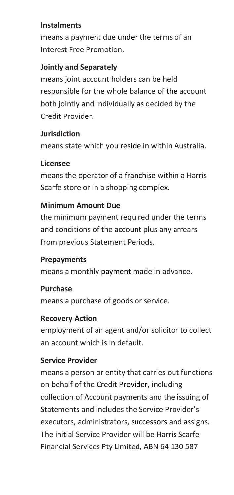#### **Instalments**

means a payment due under the terms of an Interest Free Promotion.

# **Jointly and Separately**

means joint account holders can be held responsible for the whole balance of the account both jointly and individually as decided by the Credit Provider.

# **Jurisdiction**

means state which you reside in within Australia.

# **Licensee**

means the operator of a franchise within a Harris Scarfe store or in a shopping complex.

# **Minimum Amount Due**

the minimum payment required under the terms and conditions of the account plus any arrears from previous Statement Periods.

# **Prepayments**

means a monthly payment made in advance.

# **Purchase**

means a purchase of goods or service.

# **Recovery Action**

employment of an agent and/or solicitor to collect an account which is in default.

# **Service Provider**

means a person or entity that carries out functions on behalf of the Credit Provider, including collection of Account payments and the issuing of Statements and includes the Service Provider's executors, administrators, successors and assigns. The initial Service Provider will be Harris Scarfe Financial Services Pty Limited, ABN 64 130 587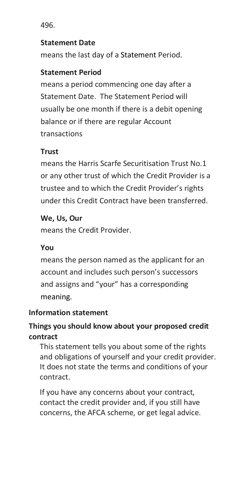496.

#### **Statement Date**

means the last day of a Statement Period.

# **Statement Period**

means a period commencing one day after a Statement Date. The Statement Period will usually be one month if there is a debit opening balance or if there are regular Account transactions

# **Trust**

means the Harris Scarfe Securitisation Trust No.1 or any other trust of which the Credit Provider is a trustee and to which the Credit Provider's rights under this Credit Contract have been transferred.

# **We, Us, Our**

means the Credit Provider.

# **You**

means the person named as the applicant for an account and includes such person's successors and assigns and "your" has a corresponding meaning.

# **Information statement**

# **Things you should know about your proposed credit contract**

This statement tells you about some of the rights and obligations of yourself and your credit provider. It does not state the terms and conditions of your contract.

If you have any concerns about your contract, contact the credit provider and, if you still have concerns, the AFCA scheme, or get legal advice.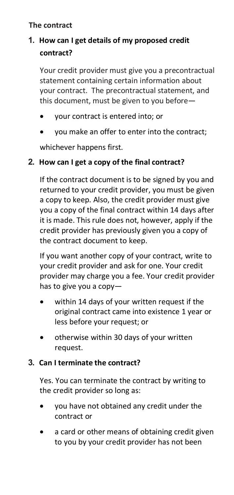# **The contract**

# **1. How can I get details of my proposed credit contract?**

Your credit provider must give you a precontractual statement containing certain information about your contract. The precontractual statement, and this document, must be given to you before—

- your contract is entered into; or
- you make an offer to enter into the contract;

whichever happens first.

# **2. How can I get a copy of the final contract?**

If the contract document is to be signed by you and returned to your credit provider, you must be given a copy to keep. Also, the credit provider must give you a copy of the final contract within 14 days after it is made. This rule does not, however, apply if the credit provider has previously given you a copy of the contract document to keep.

If you want another copy of your contract, write to your credit provider and ask for one. Your credit provider may charge you a fee. Your credit provider has to give you a copy—

- within 14 days of your written request if the original contract came into existence 1 year or less before your request; or
- otherwise within 30 days of your written request.

# **3. Can I terminate the contract?**

Yes. You can terminate the contract by writing to the credit provider so long as:

- you have not obtained any credit under the contract or
- a card or other means of obtaining credit given to you by your credit provider has not been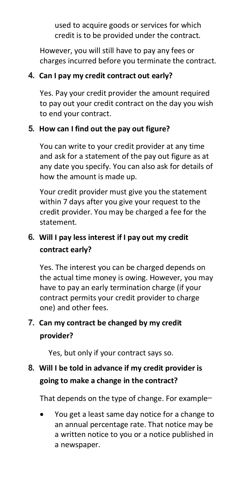used to acquire goods or services for which credit is to be provided under the contract.

However, you will still have to pay any fees or charges incurred before you terminate the contract.

# **4. Can I pay my credit contract out early?**

Yes. Pay your credit provider the amount required to pay out your credit contract on the day you wish to end your contract.

# **5. How can I find out the pay out figure?**

You can write to your credit provider at any time and ask for a statement of the pay out figure as at any date you specify. You can also ask for details of how the amount is made up.

Your credit provider must give you the statement within 7 days after you give your request to the credit provider. You may be charged a fee for the statement.

# **6. Will I pay less interest if I pay out my credit contract early?**

Yes. The interest you can be charged depends on the actual time money is owing. However, you may have to pay an early termination charge (if your contract permits your credit provider to charge one) and other fees.

# **7. Can my contract be changed by my credit provider?**

Yes, but only if your contract says so.

# **8. Will I be told in advance if my credit provider is going to make a change in the contract?**

That depends on the type of change. For example—

• You get a least same day notice for a change to an annual percentage rate. That notice may be a written notice to you or a notice published in a newspaper.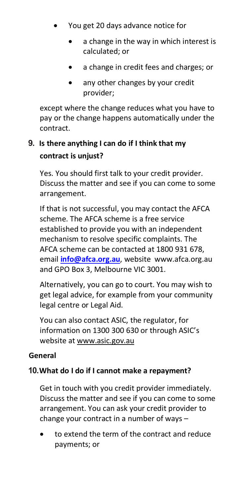- You get 20 days advance notice for
	- a change in the way in which interest is calculated; or
	- a change in credit fees and charges; or
	- any other changes by your credit provider;

except where the change reduces what you have to pay or the change happens automatically under the contract.

# **9. Is there anything I can do if I think that my contract is unjust?**

Yes. You should first talk to your credit provider. Discuss the matter and see if you can come to some arrangement.

If that is not successful, you may contact the AFCA scheme. The AFCA scheme is a free service established to provide you with an independent mechanism to resolve specific complaints. The AFCA scheme can be contacted at 1800 931 678, email **info@afca.org.au**, website www.afca.org.au and GPO Box 3, Melbourne VIC 3001.

Alternatively, you can go to court. You may wish to get legal advice, for example from your community legal centre or Legal Aid.

You can also contact ASIC, the regulator, for information on 1300 300 630 or through ASIC's website at www.asic.gov.au

# **General**

# **10.What do I do if I cannot make a repayment?**

Get in touch with you credit provider immediately. Discuss the matter and see if you can come to some arrangement. You can ask your credit provider to change your contract in a number of ways –

• to extend the term of the contract and reduce payments; or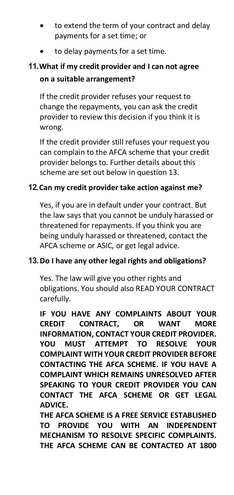- to extend the term of your contract and delay payments for a set time; or
- to delay payments for a set time.

# **11.What if my credit provider and I can not agree on a suitable arrangement?**

If the credit provider refuses your request to change the repayments, you can ask the credit provider to review this decision if you think it is wrong.

If the credit provider still refuses your request you can complain to the AFCA scheme that your credit provider belongs to. Further details about this scheme are set out below in question 13.

# **12.Can my credit provider take action against me?**

Yes, if you are in default under your contract. But the law says that you cannot be unduly harassed or threatened for repayments. If you think you are being unduly harassed or threatened, contact the AFCA scheme or ASIC, or get legal advice.

# **13.Do I have any other legal rights and obligations?**

Yes. The law will give you other rights and obligations. You should also READ YOUR CONTRACT carefully.

**IF YOU HAVE ANY COMPLAINTS ABOUT YOUR CREDIT CONTRACT, OR WANT MORE INFORMATION, CONTACT YOUR CREDIT PROVIDER. YOU MUST ATTEMPT TO RESOLVE YOUR COMPLAINT WITH YOUR CREDIT PROVIDER BEFORE CONTACTING THE AFCA SCHEME. IF YOU HAVE A COMPLAINT WHICH REMAINS UNRESOLVED AFTER SPEAKING TO YOUR CREDIT PROVIDER YOU CAN CONTACT THE AFCA SCHEME OR GET LEGAL ADVICE.** 

**THE AFCA SCHEME IS A FREE SERVICE ESTABLISHED TO PROVIDE YOU WITH AN INDEPENDENT MECHANISM TO RESOLVE SPECIFIC COMPLAINTS. THE AFCA SCHEME CAN BE CONTACTED AT 1800**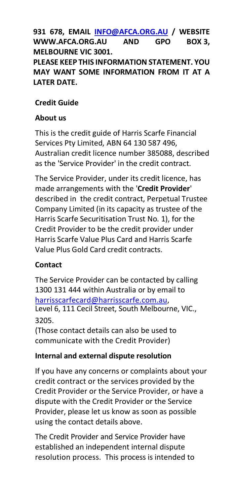**931 678, EMAIL INFO@AFCA.ORG.AU / WEBSITE WWW.AFCA.ORG.AU AND GPO BOX 3, MELBOURNE VIC 3001. PLEASE KEEP THIS INFORMATION STATEMENT. YOU MAY WANT SOME INFORMATION FROM IT AT A LATER DATE.** 

# **Credit Guide**

# **About us**

This is the credit guide of Harris Scarfe Financial Services Pty Limited, ABN 64 130 587 496, Australian credit licence number 385088, described as the 'Service Provider' in the credit contract.

The Service Provider, under its credit licence, has made arrangements with the '**Credit Provider**' described in the credit contract, Perpetual Trustee Company Limited (in its capacity as trustee of the Harris Scarfe Securitisation Trust No. 1), for the Credit Provider to be the credit provider under Harris Scarfe Value Plus Card and Harris Scarfe Value Plus Gold Card credit contracts.

# **Contact**

The Service Provider can be contacted by calling 1300 131 444 within Australia or by email to harrisscarfecard@harrisscarfe.com.au, Level 6, 111 Cecil Street, South Melbourne, VIC., 3205.

(Those contact details can also be used to communicate with the Credit Provider)

# **Internal and external dispute resolution**

If you have any concerns or complaints about your credit contract or the services provided by the Credit Provider or the Service Provider, or have a dispute with the Credit Provider or the Service Provider, please let us know as soon as possible using the contact details above.

The Credit Provider and Service Provider have established an independent internal dispute resolution process. This process is intended to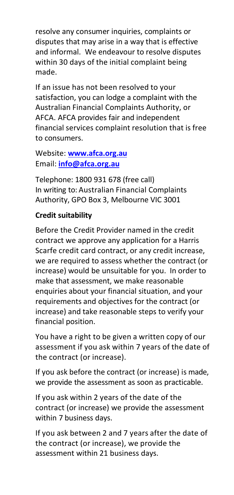resolve any consumer inquiries, complaints or disputes that may arise in a way that is effective and informal. We endeavour to resolve disputes within 30 days of the initial complaint being made.

If an issue has not been resolved to your satisfaction, you can lodge a complaint with the Australian Financial Complaints Authority, or AFCA. AFCA provides fair and independent financial services complaint resolution that is free to consumers.

Website: **www.afca.org.au** Email: **info@afca.org.au**

Telephone: 1800 931 678 (free call) In writing to: Australian Financial Complaints Authority, GPO Box 3, Melbourne VIC 3001

# **Credit suitability**

Before the Credit Provider named in the credit contract we approve any application for a Harris Scarfe credit card contract, or any credit increase, we are required to assess whether the contract (or increase) would be unsuitable for you. In order to make that assessment, we make reasonable enquiries about your financial situation, and your requirements and objectives for the contract (or increase) and take reasonable steps to verify your financial position.

You have a right to be given a written copy of our assessment if you ask within 7 years of the date of the contract (or increase).

If you ask before the contract (or increase) is made, we provide the assessment as soon as practicable.

If you ask within 2 years of the date of the contract (or increase) we provide the assessment within 7 business days.

If you ask between 2 and 7 years after the date of the contract (or increase), we provide the assessment within 21 business days.